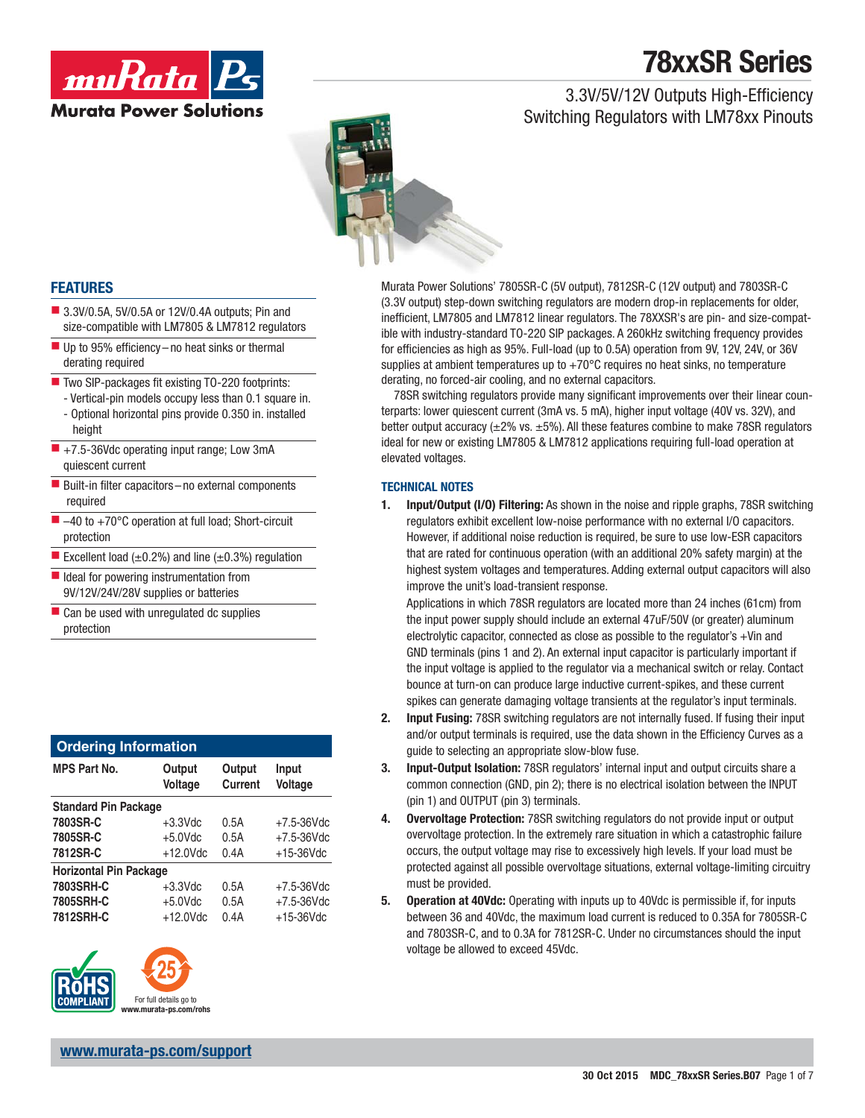3.3V/5V/12V Outputs High-Efficiency

Switching Regulators with LM78xx Pinouts





### **FEATURES**

- 3.3V/0.5A, 5V/0.5A or 12V/0.4A outputs; Pin and size-compatible with LM7805 & LM7812 regulators
- $\blacksquare$  Up to 95% efficiency no heat sinks or thermal derating required
- $\blacksquare$  Two SIP-packages fit existing TO-220 footprints:
	- Vertical-pin models occupy less than 0.1 square in. - Optional horizontal pins provide 0.350 in. installed height
- +7.5-36Vdc operating input range; Low 3mA quiescent current
- Built-in filter capacitors no external components required
- -40 to +70°C operation at full load; Short-circuit protection
- Excellent load  $(\pm 0.2\%)$  and line  $(\pm 0.3\%)$  regulation
- $\blacksquare$  Ideal for powering instrumentation from 9V/12V/24V/28V supplies or batteries
- $\blacksquare$  Can be used with unregulated dc supplies protection

| <b>Ordering Information</b>   |                   |                          |                  |  |  |
|-------------------------------|-------------------|--------------------------|------------------|--|--|
| <b>MPS Part No.</b>           | Output<br>Voltage | Output<br><b>Current</b> | Input<br>Voltage |  |  |
| <b>Standard Pin Package</b>   |                   |                          |                  |  |  |
| 7803SR-C                      | $+3.3$ Vdc        | 0.5A                     | $+7.5 - 36$ Vdc  |  |  |
| 7805SR-C                      | $+5.0$ Vdc        | 0.5A                     | $+7.5 - 36$ Vdc  |  |  |
| 7812SR-C                      | $+12.0$ Vdc       | 0.4A                     | $+15-36$ Vdc     |  |  |
| <b>Horizontal Pin Package</b> |                   |                          |                  |  |  |
| 7803SRH-C                     | $+3.3$ Vdc        | 0.5A                     | $+7.5 - 36$ Vdc  |  |  |
| 7805SRH-C                     | $+5.0$ Vdc        | 0.5A                     | $+7.5 - 36$ Vdc  |  |  |
| 7812SRH-C                     | $+12.0$ Vdc       | 0.4A                     | $+15-36$ Vdc     |  |  |



Murata Power Solutions' 7805SR-C (5V output), 7812SR-C (12V output) and 7803SR-C (3.3V output) step-down switching regulators are modern drop-in replacements for older, inefficient, LM7805 and LM7812 linear regulators. The 78XXSR's are pin- and size-compatible with industry-standard TO-220 SIP packages. A 260kHz switching frequency provides for efficiencies as high as 95%. Full-load (up to 0.5A) operation from 9V, 12V, 24V, or 36V supplies at ambient temperatures up to  $+70^{\circ}$ C requires no heat sinks, no temperature derating, no forced-air cooling, and no external capacitors.

78SR switching regulators provide many significant improvements over their linear counterparts: lower quiescent current (3mA vs. 5 mA), higher input voltage (40V vs. 32V), and better output accuracy  $(\pm 2\% \text{ vs. } \pm 5\%)$ . All these features combine to make 78SR regulators ideal for new or existing LM7805 & LM7812 applications requiring full-load operation at elevated voltages.

### **TECHNICAL NOTES**

**1. Input/Output (I/O) Filtering:** As shown in the noise and ripple graphs, 78SR switching regulators exhibit excellent low-noise performance with no external I/O capacitors. However, if additional noise reduction is required, be sure to use low-ESR capacitors that are rated for continuous operation (with an additional 20% safety margin) at the highest system voltages and temperatures. Adding external output capacitors will also improve the unit's load-transient response.

 Applications in which 78SR regulators are located more than 24 inches (61cm) from the input power supply should include an external 47uF/50V (or greater) aluminum electrolytic capacitor, connected as close as possible to the regulator's +Vin and GND terminals (pins 1 and 2). An external input capacitor is particularly important if the input voltage is applied to the regulator via a mechanical switch or relay. Contact bounce at turn-on can produce large inductive current-spikes, and these current spikes can generate damaging voltage transients at the regulator's input terminals.

- **2. Input Fusing:** 78SR switching regulators are not internally fused. If fusing their input and/or output terminals is required, use the data shown in the Efficiency Curves as a guide to selecting an appropriate slow-blow fuse.
- **3. Input-Output Isolation:** 78SR regulators' internal input and output circuits share a common connection (GND, pin 2); there is no electrical isolation between the INPUT (pin 1) and OUTPUT (pin 3) terminals.
- **4. Overvoltage Protection:** 78SR switching regulators do not provide input or output overvoltage protection. In the extremely rare situation in which a catastrophic failure occurs, the output voltage may rise to excessively high levels. If your load must be protected against all possible overvoltage situations, external voltage-limiting circuitry must be provided.
- **5. Operation at 40Vdc:** Operating with inputs up to 40Vdc is permissible if, for inputs between 36 and 40Vdc, the maximum load current is reduced to 0.35A for 7805SR-C and 7803SR-C, and to 0.3A for 7812SR-C. Under no circumstances should the input voltage be allowed to exceed 45Vdc.

**www.murata-ps.com/support**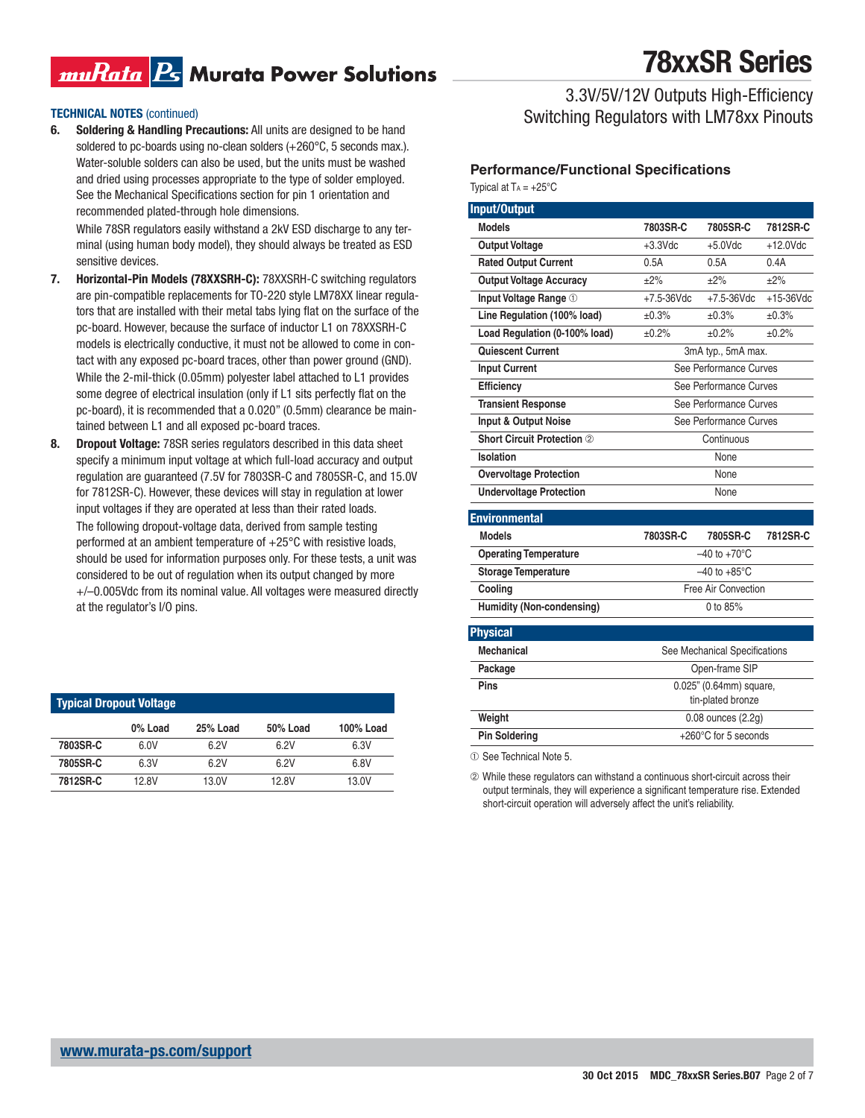## muRata B Murata Power Solutions

#### **TECHNICAL NOTES** (continued)

**6. Soldering & Handling Precautions:** All units are designed to be hand soldered to pc-boards using no-clean solders (+260°C, 5 seconds max.). Water-soluble solders can also be used, but the units must be washed and dried using processes appropriate to the type of solder employed. See the Mechanical Specifications section for pin 1 orientation and recommended plated-through hole dimensions.

 While 78SR regulators easily withstand a 2kV ESD discharge to any terminal (using human body model), they should always be treated as ESD sensitive devices.

- **7. Horizontal-Pin Models (78XXSRH-C):** 78XXSRH-C switching regulators are pin-compatible replacements for TO-220 style LM78XX linear regulators that are installed with their metal tabs lying flat on the surface of the pc-board. However, because the surface of inductor L1 on 78XXSRH-C models is electrically conductive, it must not be allowed to come in contact with any exposed pc-board traces, other than power ground (GND). While the 2-mil-thick (0.05mm) polyester label attached to L1 provides some degree of electrical insulation (only if L1 sits perfectly flat on the pc-board), it is recommended that a 0.020" (0.5mm) clearance be maintained between L1 and all exposed pc-board traces.
- **8. Dropout Voltage:** 78SR series regulators described in this data sheet specify a minimum input voltage at which full-load accuracy and output regulation are guaranteed (7.5V for 7803SR-C and 7805SR-C, and 15.0V for 7812SR-C). However, these devices will stay in regulation at lower input voltages if they are operated at less than their rated loads. The following dropout-voltage data, derived from sample testing performed at an ambient temperature of +25°C with resistive loads, should be used for information purposes only. For these tests, a unit was considered to be out of regulation when its output changed by more +/–0.005Vdc from its nominal value. All voltages were measured directly at the regulator's I/O pins.

| <b>Typical Dropout Voltage</b> |         |          |          |           |  |
|--------------------------------|---------|----------|----------|-----------|--|
|                                | 0% Load | 25% Load | 50% Load | 100% Load |  |
| 7803SR-C                       | 6.0V    | 6.2V     | 6.2V     | 6.3V      |  |
| 7805SR-C                       | 6.3V    | 6.2V     | 6.2V     | 6.8V      |  |
| 7812SR-C                       | 12.8V   | 13.0V    | 12.8V    | 13.0V     |  |

# **78xxSR Series**

3.3V/5V/12V Outputs High-Efficiency Switching Regulators with LM78xx Pinouts

#### **Performance/Functional Specifications** Typical at  $Ta = +25^{\circ}C$

| <b>Input/Output</b>            |                                              |                               |              |
|--------------------------------|----------------------------------------------|-------------------------------|--------------|
| <b>Models</b>                  | 7803SR-C                                     | 7805SR-C                      | 7812SR-C     |
| <b>Output Voltage</b>          | $+3.3$ Vdc                                   | $+5.0$ Vdc                    | $+12.0$ Vdc  |
| <b>Rated Output Current</b>    | 0.5A                                         | 0.5A                          | 0.4A         |
| <b>Output Voltage Accuracy</b> | $\pm 2\%$                                    | $\pm 2\%$                     | $\pm 2\%$    |
| Input Voltage Range 1          | $+7.5 - 36$ Vdc                              | $+7.5 - 36$ Vdc               | $+15-36$ Vdc |
| Line Regulation (100% load)    | ±0.3%                                        | ±0.3%                         | ±0.3%        |
| Load Regulation (0-100% load)  | ±0.2%                                        | ±0.2%                         | ±0.2%        |
| Quiescent Current              | 3mA typ., 5mA max.                           |                               |              |
| <b>Input Current</b>           | See Performance Curves                       |                               |              |
| Efficiency                     | See Performance Curves                       |                               |              |
| <b>Transient Response</b>      | See Performance Curves                       |                               |              |
| Input & Output Noise           | See Performance Curves                       |                               |              |
| Short Circuit Protection 2     | Continuous                                   |                               |              |
| Isolation                      | None                                         |                               |              |
| <b>Overvoltage Protection</b>  | None                                         |                               |              |
| <b>Undervoltage Protection</b> | None                                         |                               |              |
| <b>Environmental</b>           |                                              |                               |              |
| <b>Models</b>                  | 7803SR-C                                     | 7805SR-C                      | 7812SR-C     |
| <b>Operating Temperature</b>   | $-40$ to $+70^{\circ}$ C                     |                               |              |
| Storage Temperature            | $-40$ to $+85^{\circ}$ C                     |                               |              |
| Cooling                        | Free Air Convection                          |                               |              |
| Humidity (Non-condensing)      | 0 to $85%$                                   |                               |              |
| <b>Physical</b>                |                                              |                               |              |
| <b>Mechanical</b>              |                                              | See Mechanical Specifications |              |
| Package                        |                                              | Open-frame SIP                |              |
| Pins                           |                                              |                               |              |
|                                | 0.025" (0.64mm) square,<br>tin-plated bronze |                               |              |
| Weight                         | 0.08 ounces (2.2g)                           |                               |              |
| <b>Pin Soldering</b>           | +260°C for 5 seconds                         |                               |              |

➀ See Technical Note 5.

➁ While these regulators can withstand a continuous short-circuit across their output terminals, they will experience a significant temperature rise. Extended short-circuit operation will adversely affect the unit's reliability.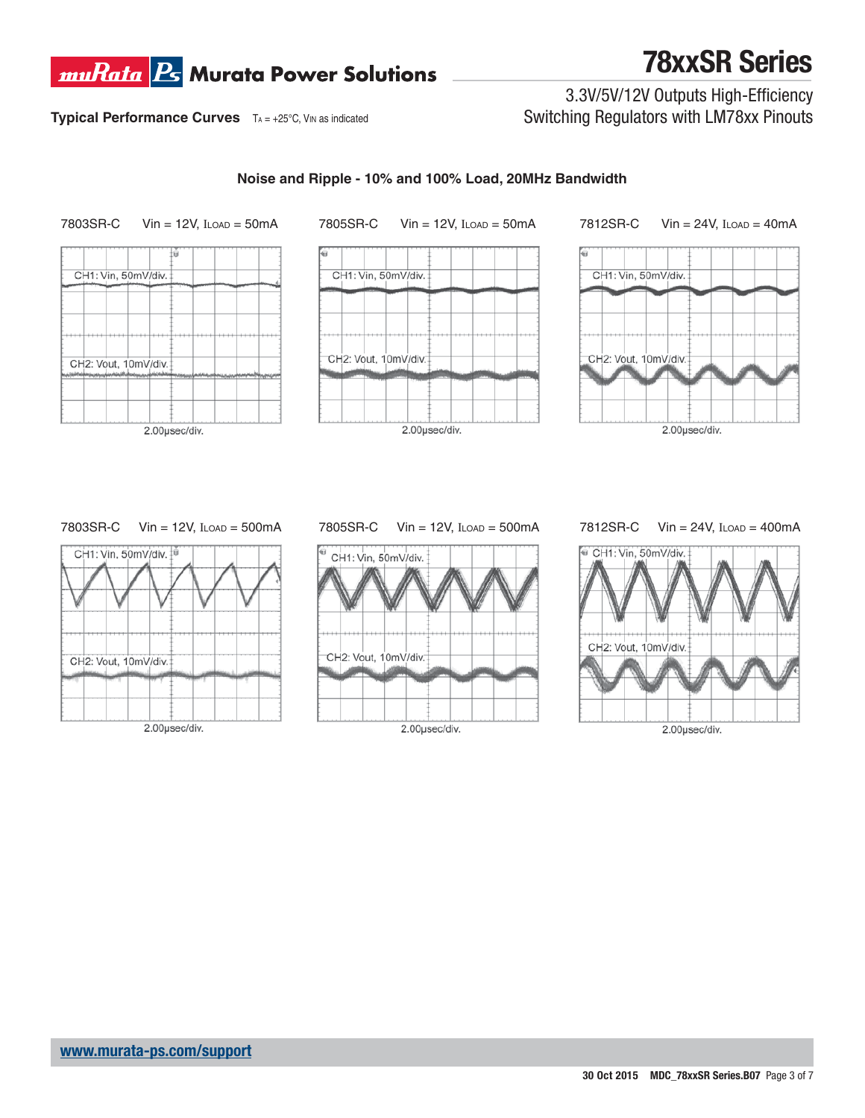

3.3V/5V/12V Outputs High-Efficiency Switching Regulators with LM78xx Pinouts

**Typical Performance Curves**  $TA = +25^{\circ}C$ , VIN as indicated

## **Noise and Ripple - 10% and 100% Load, 20MHz Bandwidth**



### 7803SR-C Vin = 12V, ILOAD = 500mA



## 7805SR-C Vin = 12V, ILOAD = 500mA



### 7812SR-C Vin = 24V, ILOAD = 400mA

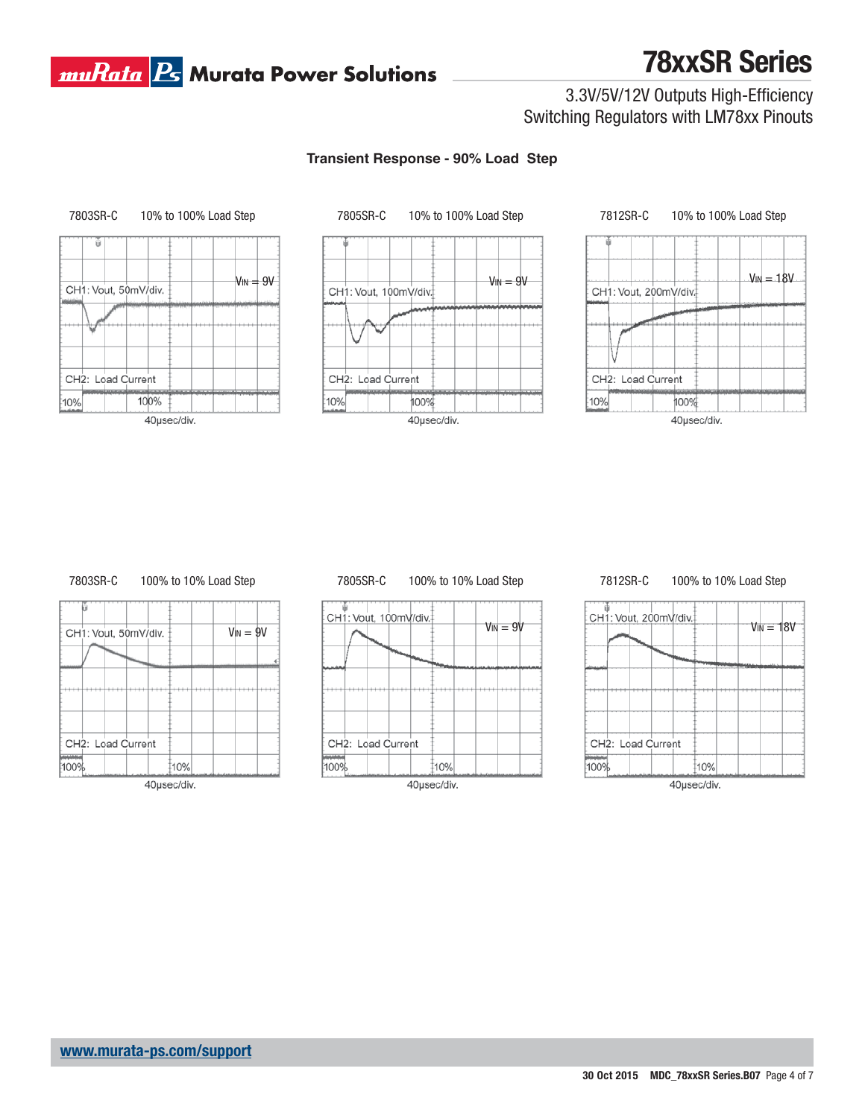## **muRata B** Murata Power Solutions

# **78xxSR Series**

## 3.3V/5V/12V Outputs High-Efficiency Switching Regulators with LM78xx Pinouts

### **Transient Response - 90% Load Step**







### 7803SR-C 100% to 10% Load Step

| CH1: Vout, 50mV/div. | $V_{IN} = 9V$ |
|----------------------|---------------|
|                      |               |
|                      |               |
|                      |               |
|                      |               |
| CH2: Load Current    |               |
| 10%<br>100%          |               |



### 7805SR-C 100% to 10% Load Step



#### 7812SR-C 100% to 10% Load Step





40µsec/div.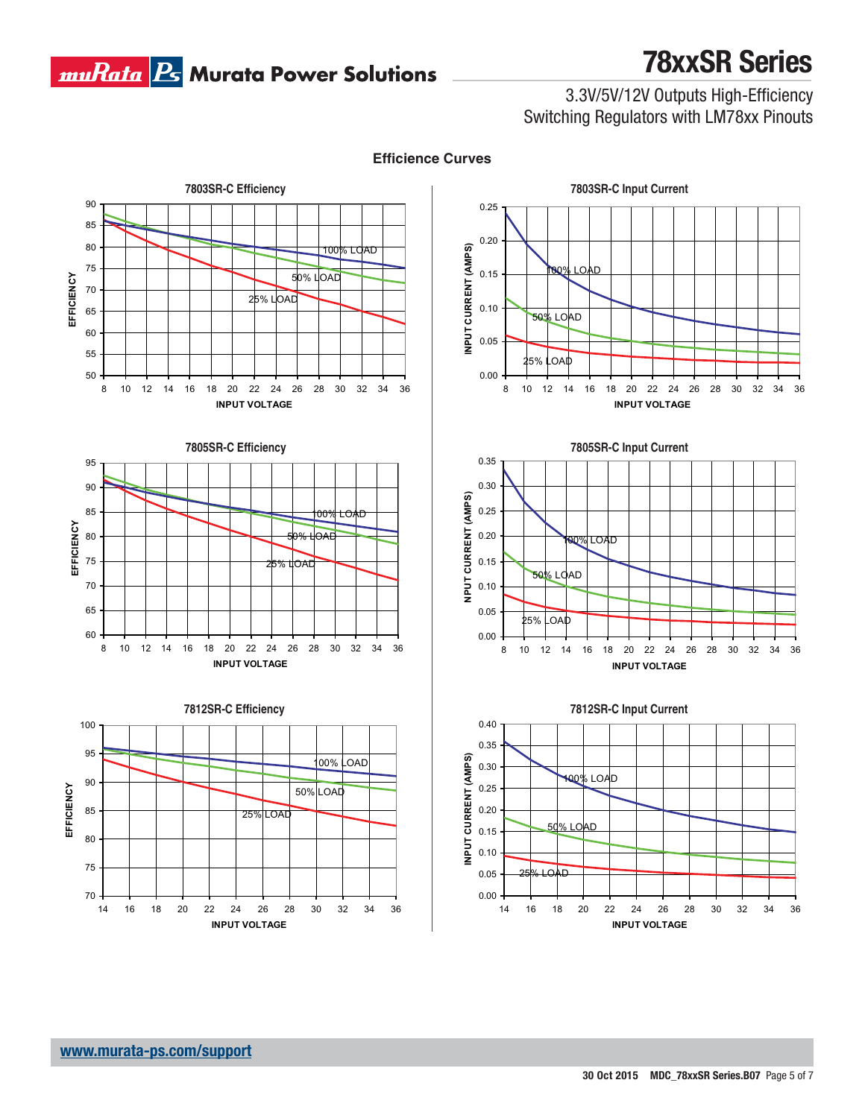

3.3V/5V/12V Outputs High-Efficiency Switching Regulators with LM78xx Pinouts











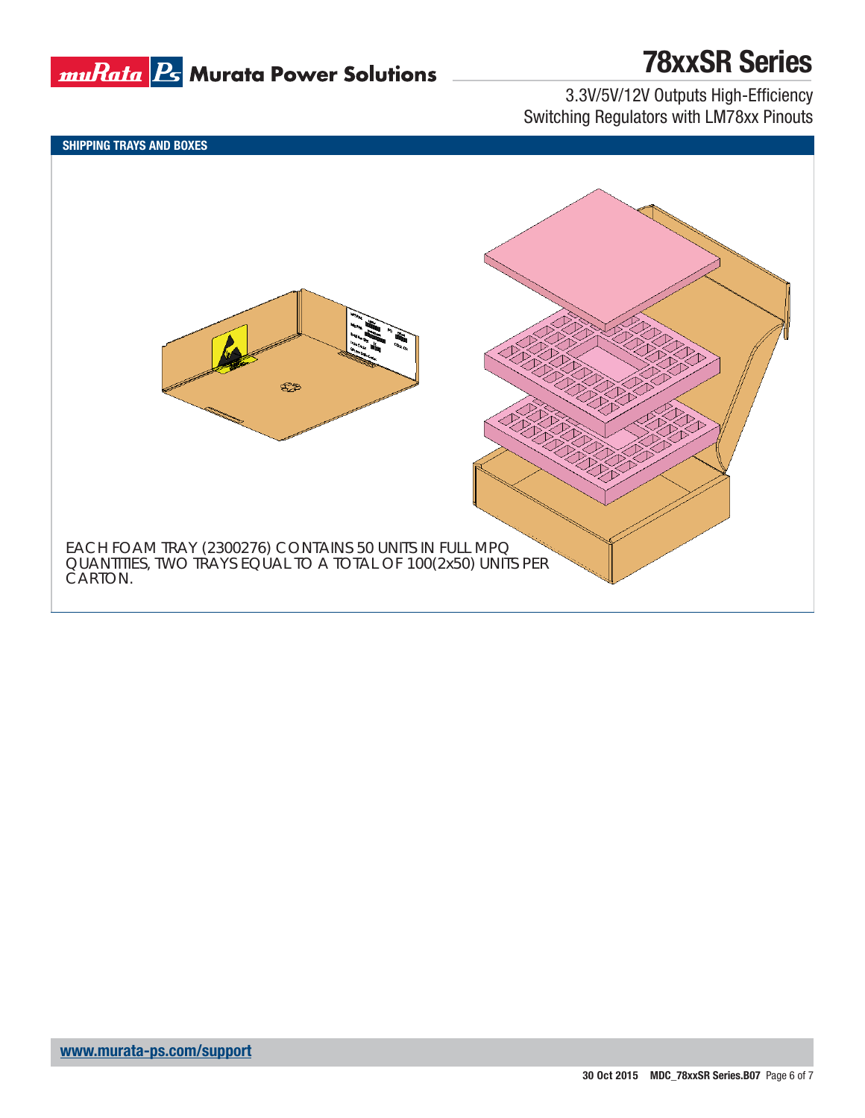

3.3V/5V/12V Outputs High-Efficiency Switching Regulators with LM78xx Pinouts